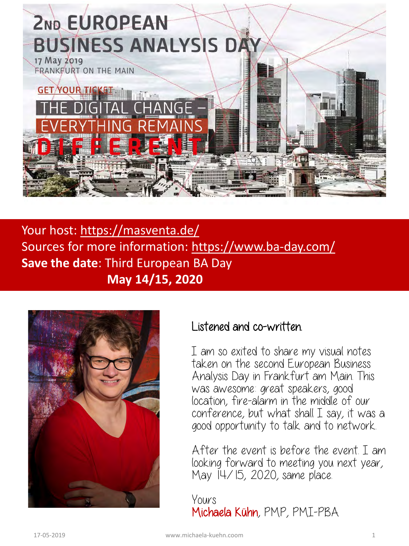

Your host: <https://masventa.de/> Sources for more information: <https://www.ba-day.com/> **Save the date**: Third European BA Day **May 14/15, 2020** 



### Listened and co-written.

I am so exited to share my visual notes taken on the second European Business Analysis Day in Frankfurt am Main. This was awesome: great speakers, good location, fire-alarm in the middle of our conference, but what shall I say, it was a good opportunity to talk and to network.

After the event is before the event. I am looking forward to meeting you next year, May 14/15, 2020, same place.

Yours Michaela Kühn, PMP, PMI-PBA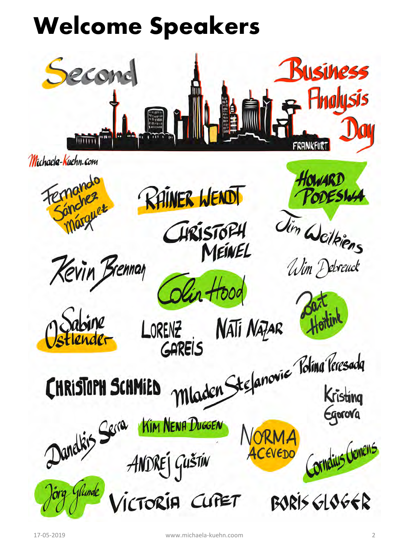# **Welcome Speakers**



Michaela-Kuehn.com









HRISTOPH MeinEL

Nati Nazar ORENZ GAREIS



Wim Debreuck

Howard

Jim Weikiens

ODESIN

FAREIS<br>Mladen Stefanovic Polina Peresada

Egorova

Cornelius Gemens

**CHRISTOPH SCHMIED** Danakis Serra 4NDREJ GUŠTIN glunde TORIA CUPET

EVEDO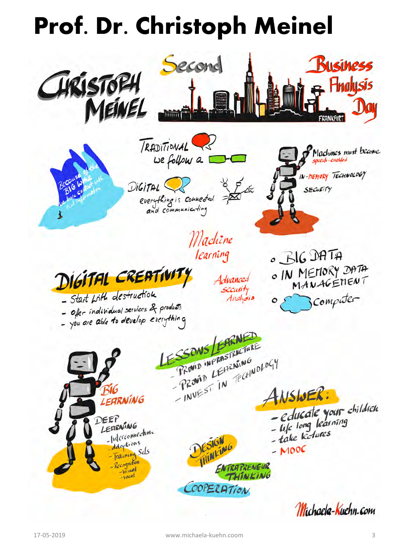## **Prof. Dr. Christoph Meinel**

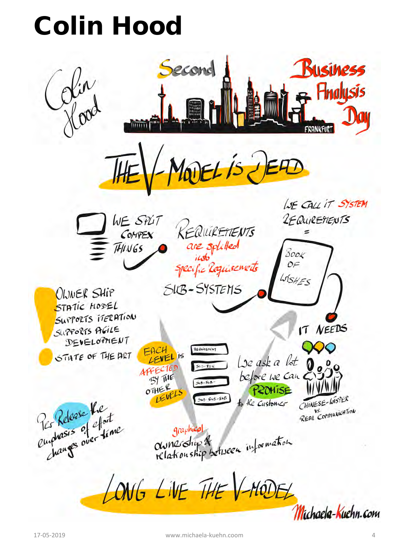## Colin Hood

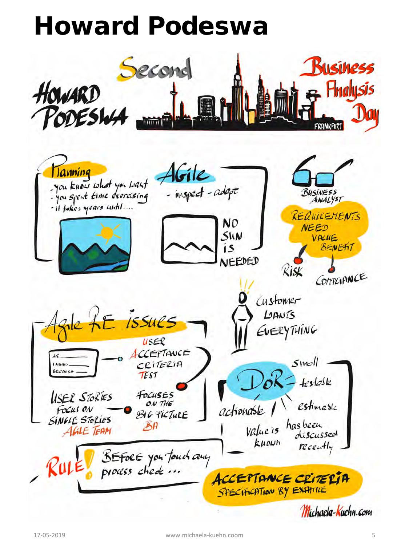## Howard Podeswa

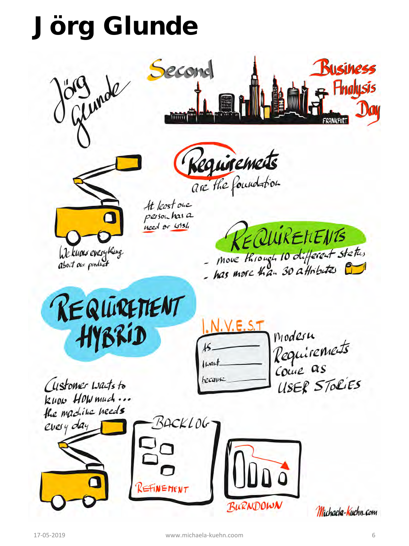# Jörg Glunde









At least one person has a need or wish

EQUIRENENTS - move through 10 different status



Modesu Requirements want USER STOLIES hecause





Michaela-Kuehn.com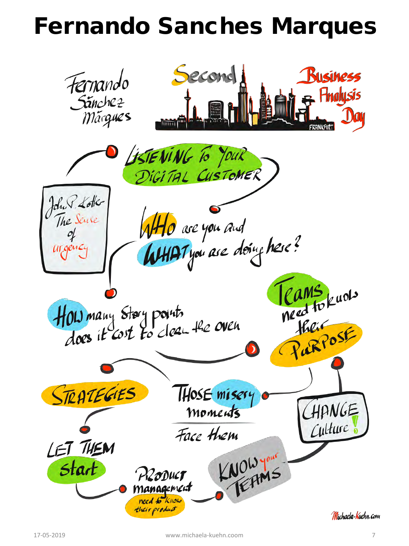### Fernando Sanches Marques